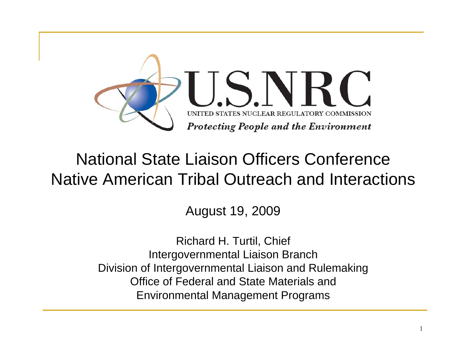

#### National State Liaison Officers ConferenceNative American Tribal Outreach and Interactions

August 19, 2009

Richard H. Turtil, Chief Intergovernmental Liaison Branch Division of Intergovernmental Liaison and Rulemaking Office of Federal and State Materials and Environmental Management Programs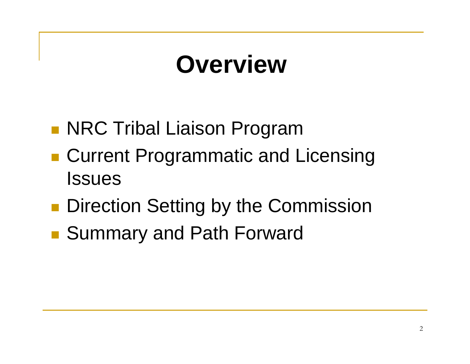## **Overview**

- **NRC Tribal Liaison Program**
- ■ Current Programmatic and Licensing **Issues**
- **Direction Setting by the Commission**
- **Contract Contract Contract Contract Contract Contract Contract Contract Contract Contract Contract Contract C** ■ Summary and Path Forward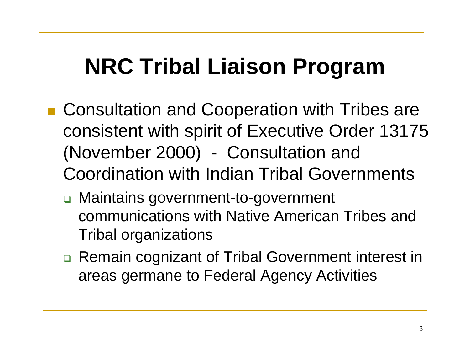## **NRC Tribal Liaison Program**

- Consultation and Cooperation with Tribes are consistent with spirit of Executive Order 13175 (November 2000) - Consultation and Coordination with Indian Tribal Governments
	- □ Maintains government-to-government communications with Native American Tribes and Tribal organizations
	- □ Remain cognizant of Tribal Government interest in areas germane to Federal Agency Activities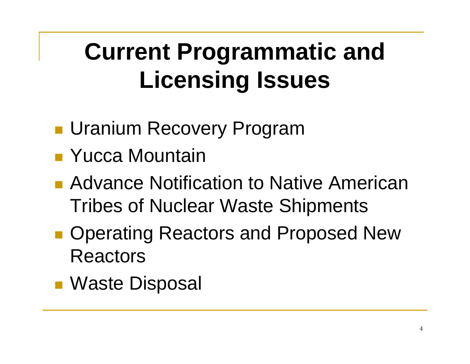# **Current Programmatic and Licensing Issues**

- **L** Uranium Recovery Program
- Yucca Mountain
- Advance Notification to Native American Tribes of Nuclear Waste Shipments
- **Contract Contract Contract Contract Contract Contract Contract Contract Contract Contract Contract Contract C • Operating Reactors and Proposed New** Reactors
- Waste Disposal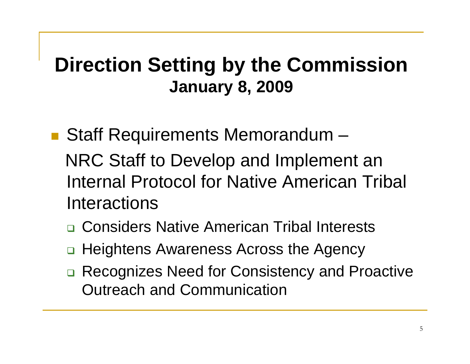### **Direction Setting by the Commission January 8, 2009**

- Staff Requirements Memorandum NRC Staff to Develop and Implement an Internal Protocol for Native American Tribal **Interactions** 
	- □ Considers Native American Tribal Interests
	- □ Heightens Awareness Across the Agency
	- □ Recognizes Need for Consistency and Proactive Outreach and Communication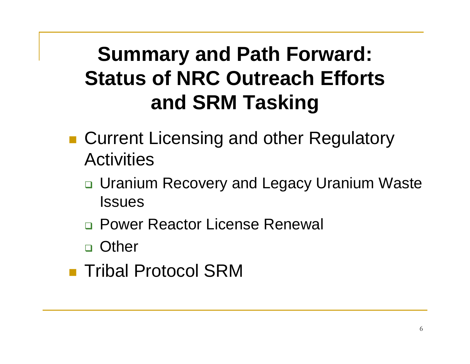### **Summary and Path Forward: Status of NRC Outreach Efforts and SRM Tasking**

- Current Licensing and other Regulatory **Activities** 
	- **□ Uranium Recovery and Legacy Uranium Waste Issues**
	- □ Power Reactor License Renewal
	- □ Other
- **Tribal Protocol SRM**